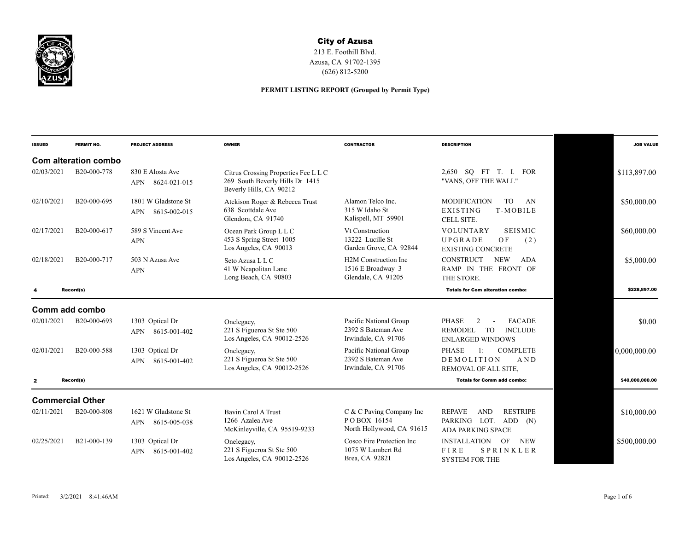

## City of Azusa

213 E. Foothill Blvd. Azusa, CA 91702-1395 (626) 812-5200

## **PERMIT LISTING REPORT (Grouped by Permit Type)**

| <b>ISSUED</b> | PERMIT NO.              | <b>PROJECT ADDRESS</b>                            | <b>OWNER</b>                                                                                       | <b>CONTRACTOR</b>                                                            | <b>DESCRIPTION</b>                                                                                                        | <b>JOB VALUE</b> |
|---------------|-------------------------|---------------------------------------------------|----------------------------------------------------------------------------------------------------|------------------------------------------------------------------------------|---------------------------------------------------------------------------------------------------------------------------|------------------|
|               | Com alteration combo    |                                                   |                                                                                                    |                                                                              |                                                                                                                           |                  |
| 02/03/2021    | B20-000-778             | 830 E Alosta Ave<br>8624-021-015<br><b>APN</b>    | Citrus Crossing Properties Fee L L C<br>269 South Beverly Hills Dr 1415<br>Beverly Hills, CA 90212 |                                                                              | 2,650 SQ FT T. I.<br><b>FOR</b><br>"VANS, OFF THE WALL"                                                                   | \$113,897.00     |
| 02/10/2021    | B20-000-695             | 1801 W Gladstone St<br>8615-002-015<br><b>APN</b> | Atckison Roger & Rebecca Trust<br>638 Scottdale Ave<br>Glendora, CA 91740                          | Alamon Telco Inc.<br>315 W Idaho St<br>Kalispell, MT 59901                   | <b>MODIFICATION</b><br>AN<br>TO.<br>EXISTING<br>T-MOBILE<br>CELL SITE.                                                    | \$50,000.00      |
| 02/17/2021    | B20-000-617             | 589 S Vincent Ave<br><b>APN</b>                   | Ocean Park Group L L C<br>453 S Spring Street 1005<br>Los Angeles, CA 90013                        | Vt Construction<br>13222 Lucille St<br>Garden Grove, CA 92844                | <b>SEISMIC</b><br><b>VOLUNTARY</b><br>UPGRADE<br>OF<br>(2)<br><b>EXISTING CONCRETE</b>                                    | \$60,000.00      |
| 02/18/2021    | B20-000-717             | 503 N Azusa Ave<br><b>APN</b>                     | Seto Azusa L L C<br>41 W Neapolitan Lane<br>Long Beach, CA 90803                                   | H <sub>2</sub> M Construction Inc<br>1516 E Broadway 3<br>Glendale, CA 91205 | <b>CONSTRUCT</b><br><b>NEW</b><br>ADA<br>RAMP IN THE FRONT OF<br>THE STORE.                                               | \$5,000.00       |
|               | Record(s)               |                                                   |                                                                                                    |                                                                              | <b>Totals for Com alteration combo:</b>                                                                                   | \$228,897.00     |
|               | Comm add combo          |                                                   |                                                                                                    |                                                                              |                                                                                                                           |                  |
| 02/01/2021    | B20-000-693             | 1303 Optical Dr<br>8615-001-402<br>APN            | Onelegacy,<br>221 S Figueroa St Ste 500<br>Los Angeles, CA 90012-2526                              | Pacific National Group<br>2392 S Bateman Ave<br>Irwindale, CA 91706          | <b>PHASE</b><br><b>FACADE</b><br>2<br>$\overline{a}$<br>REMODEL<br><b>TO</b><br><b>INCLUDE</b><br><b>ENLARGED WINDOWS</b> | \$0.00           |
| 02/01/2021    | B20-000-588             | 1303 Optical Dr<br>8615-001-402<br><b>APN</b>     | Onelegacy,<br>221 S Figueroa St Ste 500<br>Los Angeles, CA 90012-2526                              | Pacific National Group<br>2392 S Bateman Ave<br>Irwindale, CA 91706          | <b>PHASE</b><br><b>COMPLETE</b><br>$1^+$<br><b>DEMOLITION</b><br>AND<br>REMOVAL OF ALL SITE.                              | 0.000.000.00     |
| $\mathbf{z}$  | Record(s)               |                                                   |                                                                                                    |                                                                              | <b>Totals for Comm add combo:</b>                                                                                         | \$40,000,000.00  |
|               | <b>Commercial Other</b> |                                                   |                                                                                                    |                                                                              |                                                                                                                           |                  |
| 02/11/2021    | B20-000-808             | 1621 W Gladstone St<br>APN 8615-005-038           | Bavin Carol A Trust<br>1266 Azalea Ave<br>McKinleyville, CA 95519-9233                             | C & C Paving Company Inc<br>POBOX 16154<br>North Hollywood, CA 91615         | <b>RESTRIPE</b><br><b>REPAVE</b><br><b>AND</b><br>PARKING LOT. ADD<br>(N)<br><b>ADA PARKING SPACE</b>                     | \$10,000.00      |
| 02/25/2021    | B21-000-139             | 1303 Optical Dr<br>8615-001-402<br><b>APN</b>     | Onelegacy,<br>221 S Figueroa St Ste 500<br>Los Angeles, CA 90012-2526                              | Cosco Fire Protection Inc<br>1075 W Lambert Rd<br>Brea, CA 92821             | <b>INSTALLATION</b><br>OF<br><b>NEW</b><br>FIRE<br>SPRINKLER<br><b>SYSTEM FOR THE</b>                                     | \$500,000.00     |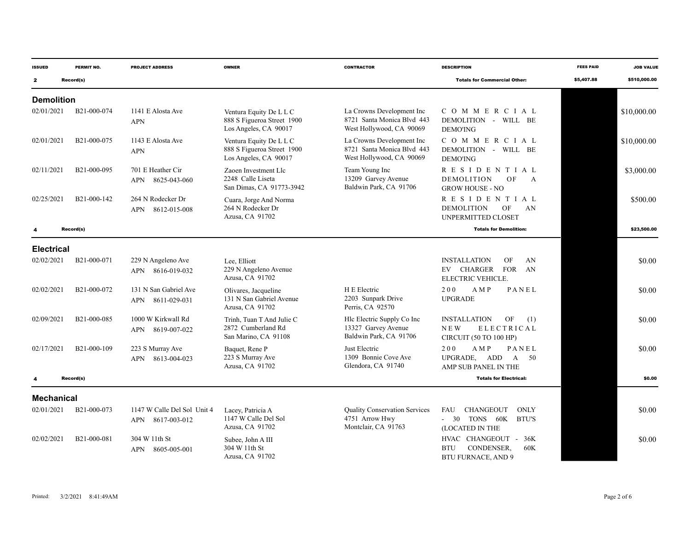| <b>ISSUED</b>     | PERMIT NO.               | <b>PROJECT ADDRESS</b>                          | <b>OWNER</b>                                                                   | <b>CONTRACTOR</b>                                                                   | <b>DESCRIPTION</b>                                                                                   | <b>FEES PAID</b> | <b>JOB VALUE</b> |
|-------------------|--------------------------|-------------------------------------------------|--------------------------------------------------------------------------------|-------------------------------------------------------------------------------------|------------------------------------------------------------------------------------------------------|------------------|------------------|
| $\mathbf{z}$      | Record(s)                |                                                 |                                                                                |                                                                                     | <b>Totals for Commercial Other:</b>                                                                  | \$5,407.88       | \$510,000.00     |
| <b>Demolition</b> |                          |                                                 |                                                                                |                                                                                     |                                                                                                      |                  |                  |
| 02/01/2021        | B21-000-074              | 1141 E Alosta Ave<br><b>APN</b>                 | Ventura Equity De L L C<br>888 S Figueroa Street 1900<br>Los Angeles, CA 90017 | La Crowns Development Inc<br>8721 Santa Monica Blvd 443<br>West Hollywood, CA 90069 | COMMERCIAL<br>DEMOLITION - WILL BE<br><b>DEMO'ING</b>                                                |                  | \$10,000.00      |
| 02/01/2021        | B21-000-075              | 1143 E Alosta Ave<br><b>APN</b>                 | Ventura Equity De L L C<br>888 S Figueroa Street 1900<br>Los Angeles, CA 90017 | La Crowns Development Inc<br>8721 Santa Monica Blvd 443<br>West Hollywood, CA 90069 | COMMERCIAL<br>DEMOLITION - WILL BE<br><b>DEMO'ING</b>                                                |                  | \$10,000.00      |
| 02/11/2021        | B <sub>21</sub> -000-095 | 701 E Heather Cir<br>APN 8625-043-060           | Zaoen Investment Llc<br>2248 Calle Liseta<br>San Dimas, CA 91773-3942          | Team Young Inc<br>13209 Garvey Avenue<br>Baldwin Park, CA 91706                     | RESIDENTIAL<br><b>DEMOLITION</b><br>OF<br>$\mathsf{A}$<br><b>GROW HOUSE - NO</b>                     |                  | \$3,000.00       |
| 02/25/2021        | B <sub>21</sub> -000-142 | 264 N Rodecker Dr<br>APN 8612-015-008           | Cuara, Jorge And Norma<br>264 N Rodecker Dr<br>Azusa, CA 91702                 |                                                                                     | R E S I D E N T I A L<br><b>DEMOLITION</b><br>OF<br>AN<br><b>UNPERMITTED CLOSET</b>                  |                  | \$500.00         |
|                   | Record(s)                |                                                 |                                                                                |                                                                                     | <b>Totals for Demolition:</b>                                                                        |                  | \$23,500.00      |
| <b>Electrical</b> |                          |                                                 |                                                                                |                                                                                     |                                                                                                      |                  |                  |
| 02/02/2021        | B21-000-071              | 229 N Angeleno Ave<br>APN 8616-019-032          | Lee. Elliott<br>229 N Angeleno Avenue<br>Azusa, CA 91702                       |                                                                                     | <b>INSTALLATION</b><br>OF<br>AN<br>CHARGER<br>FOR AN<br>EV<br>ELECTRIC VEHICLE.                      |                  | \$0.00           |
| 02/02/2021        | B21-000-072              | 131 N San Gabriel Ave<br>APN 8611-029-031       | Olivares, Jacqueline<br>131 N San Gabriel Avenue<br>Azusa, CA 91702            | H E Electric<br>2203 Sunpark Drive<br>Perris, CA 92570                              | 200<br>A M P<br>PANEL<br><b>UPGRADE</b>                                                              |                  | \$0.00           |
| 02/09/2021        | B21-000-085              | 1000 W Kirkwall Rd<br>APN 8619-007-022          | Trinh, Tuan T And Julie C<br>2872 Cumberland Rd<br>San Marino, CA 91108        | Hlc Electric Supply Co Inc<br>13327 Garvey Avenue<br>Baldwin Park, CA 91706         | <b>INSTALLATION</b><br>OF<br>(1)<br><b>ELECTRICAL</b><br><b>NEW</b><br><b>CIRCUIT (50 TO 100 HP)</b> |                  | \$0.00           |
| 02/17/2021        | B21-000-109              | 223 S Murray Ave<br>APN 8613-004-023            | Baquet, Rene P<br>223 S Murray Ave<br>Azusa, CA 91702                          | Just Electric<br>1309 Bonnie Cove Ave<br>Glendora, CA 91740                         | 200<br>A M P<br>PANEL<br>UPGRADE, ADD A<br>50<br>AMP SUB PANEL IN THE                                |                  | \$0.00           |
|                   | Record(s)                |                                                 |                                                                                |                                                                                     | <b>Totals for Electrical:</b>                                                                        |                  | \$0.00           |
| <b>Mechanical</b> |                          |                                                 |                                                                                |                                                                                     |                                                                                                      |                  |                  |
| 02/01/2021        | B21-000-073              | 1147 W Calle Del Sol Unit 4<br>APN 8617-003-012 | Lacey, Patricia A<br>1147 W Calle Del Sol<br>Azusa, CA 91702                   | <b>Quality Conservation Services</b><br>4751 Arrow Hwy<br>Montclair, CA 91763       | FAU<br><b>CHANGEOUT</b><br><b>ONLY</b><br>$-30$<br>TONS 60K<br><b>BTU'S</b><br>(LOCATED IN THE       |                  | \$0.00           |
| 02/02/2021        | B21-000-081              | 304 W 11th St<br>APN 8605-005-001               | Subee, John A III<br>304 W 11th St<br>Azusa, CA 91702                          |                                                                                     | HVAC CHANGEOUT -<br>36K<br><b>BTU</b><br>CONDENSER,<br>60K<br><b>BTU FURNACE, AND 9</b>              |                  | \$0.00           |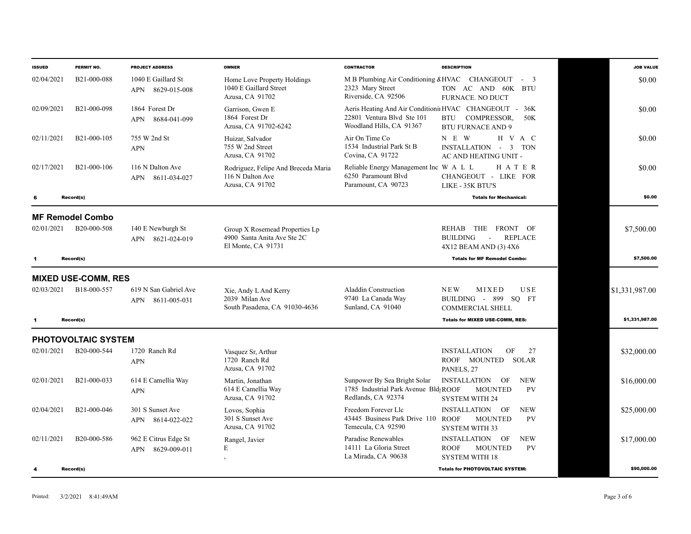| <b>ISSUED</b> | PERMIT NO.                 | <b>PROJECT ADDRESS</b>                       | <b>OWNER</b>                                                                        | <b>CONTRACTOR</b>                                                                           | <b>DESCRIPTION</b>                                                                                                     | <b>JOB VALUE</b> |
|---------------|----------------------------|----------------------------------------------|-------------------------------------------------------------------------------------|---------------------------------------------------------------------------------------------|------------------------------------------------------------------------------------------------------------------------|------------------|
| 02/04/2021    | B <sub>21</sub> -000-088   | 1040 E Gaillard St<br>8629-015-008<br>APN    | Home Love Property Holdings<br>1040 E Gaillard Street<br>Azusa, CA 91702            | 2323 Mary Street<br>Riverside, CA 92506                                                     | M B Plumbing Air Conditioning $&HVAC$ CHANGEOUT - 3<br>TON AC AND 60K BTU<br>FURNACE. NO DUCT                          | \$0.00           |
| 02/09/2021    | B21-000-098                | 1864 Forest Dr<br>8684-041-099<br><b>APN</b> | Garrison, Gwen E<br>1864 Forest Dr<br>Azusa, CA 91702-6242                          | 22801 Ventura Blvd Ste 101<br>Woodland Hills, CA 91367                                      | Aeris Heating And Air Conditionii HVAC CHANGEOUT - 36K<br><b>BTU</b><br>COMPRESSOR.<br>50K<br><b>BTU FURNACE AND 9</b> | \$0.00           |
| 02/11/2021    | B21-000-105                | 755 W 2nd St<br><b>APN</b>                   | Huizar, Salvador<br>755 W 2nd Street<br>Azusa, CA 91702                             | Air On Time Co<br>1534 Industrial Park St B<br>Covina, CA 91722                             | N E W<br>H V A C<br>INSTALLATION - 3 TON<br>AC AND HEATING UNIT -                                                      | \$0.00           |
| 02/17/2021    | B21-000-106                | 116 N Dalton Ave<br>APN 8611-034-027         | Rodriguez, Felipe And Breceda Maria<br>116 N Dalton Ave<br>Azusa, CA 91702          | Reliable Energy Management Inc W A L L<br>6250 Paramount Blvd<br>Paramount, CA 90723        | HATER<br>CHANGEOUT - LIKE FOR<br>LIKE - 35K BTU'S                                                                      | \$0.00           |
| 6             | Record(s)                  |                                              |                                                                                     |                                                                                             | <b>Totals for Mechanical:</b>                                                                                          | \$0.00           |
|               | <b>MF Remodel Combo</b>    |                                              |                                                                                     |                                                                                             |                                                                                                                        |                  |
| 02/01/2021    | B20-000-508                | 140 E Newburgh St<br>APN 8621-024-019        | Group X Rosemead Properties Lp<br>4900 Santa Anita Ave Ste 2C<br>El Monte, CA 91731 |                                                                                             | THE<br>FRONT OF<br>REHAB<br><b>BUILDING</b><br><b>REPLACE</b><br>$\sim$<br>4X12 BEAM AND (3) 4X6                       | \$7,500.00       |
| 1             | Record(s)                  |                                              |                                                                                     |                                                                                             | <b>Totals for MF Remodel Combo:</b>                                                                                    | \$7,500.00       |
|               | <b>MIXED USE-COMM, RES</b> |                                              |                                                                                     |                                                                                             |                                                                                                                        |                  |
| 02/03/2021    | B18-000-557                | 619 N San Gabriel Ave<br>APN 8611-005-031    | Xie, Andy L And Kerry<br>2039 Milan Ave<br>South Pasadena, CA 91030-4636            | <b>Aladdin Construction</b><br>9740 La Canada Way<br>Sunland, CA 91040                      | USE<br><b>NEW</b><br>MIXED<br>BUILDING - 899 SO FT<br><b>COMMERCIAL SHELL</b>                                          | \$1,331,987.00   |
| -1            | Record(s)                  |                                              |                                                                                     |                                                                                             | <b>Totals for MIXED USE-COMM, RES:</b>                                                                                 | \$1,331,987.00   |
|               | PHOTOVOLTAIC SYSTEM        |                                              |                                                                                     |                                                                                             |                                                                                                                        |                  |
| 02/01/2021    | B20-000-544                | 1720 Ranch Rd<br><b>APN</b>                  | Vasquez Sr, Arthur<br>1720 Ranch Rd<br>Azusa, CA 91702                              |                                                                                             | <b>INSTALLATION</b><br>OF<br>27<br>ROOF MOUNTED<br>SOLAR<br>PANELS, 27                                                 | \$32,000.00      |
| 02/01/2021    | B21-000-033                | 614 E Camellia Way<br><b>APN</b>             | Martin, Jonathan<br>614 E Camellia Way<br>Azusa, CA 91702                           | Sunpower By Sea Bright Solar<br>1785 Industrial Park Avenue Bld; ROOF<br>Redlands, CA 92374 | INSTALLATION OF<br><b>NEW</b><br><b>PV</b><br><b>MOUNTED</b><br><b>SYSTEM WITH 24</b>                                  | \$16,000.00      |
| 02/04/2021    | B21-000-046                | 301 S Sunset Ave<br>APN 8614-022-022         | Lovos, Sophia<br>301 S Sunset Ave<br>Azusa, CA 91702                                | Freedom Forever Llc<br>43445 Business Park Drive 110 ROOF<br>Temecula, CA 92590             | <b>INSTALLATION</b><br><b>NEW</b><br>OF<br><b>MOUNTED</b><br><b>PV</b><br><b>SYSTEM WITH 33</b>                        | \$25,000.00      |
| 02/11/2021    | B20-000-586                | 962 E Citrus Edge St<br>8629-009-011<br>APN  | Rangel, Javier<br>E                                                                 | Paradise Renewables<br>14111 La Gloria Street<br>La Mirada, CA 90638                        | <b>INSTALLATION</b><br>OF<br><b>NEW</b><br><b>MOUNTED</b><br><b>PV</b><br><b>ROOF</b><br><b>SYSTEM WITH 18</b>         | \$17,000.00      |
| 4             | Record(s)                  |                                              |                                                                                     |                                                                                             | <b>Totals for PHOTOVOLTAIC SYSTEM:</b>                                                                                 | \$90,000.00      |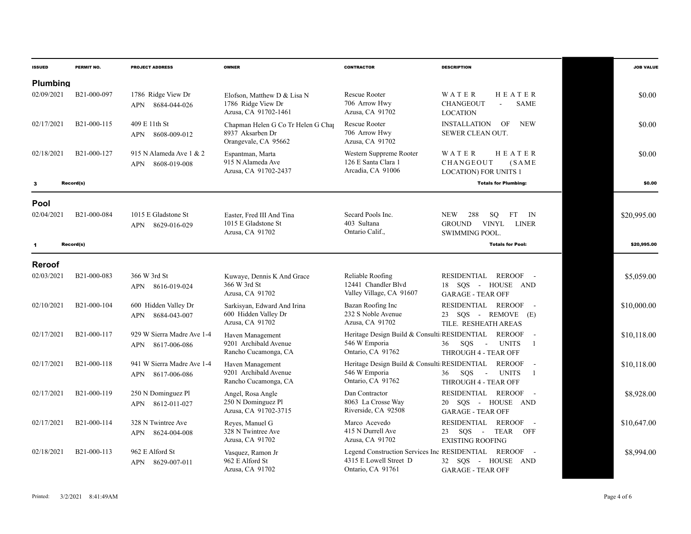| <b>ISSUED</b>   | PERMIT NO.  | <b>PROJECT ADDRESS</b>                            | <b>OWNER</b>                                                                   | <b>CONTRACTOR</b>                                                                                  | <b>DESCRIPTION</b>                                                                             |             | <b>JOB VALUE</b> |
|-----------------|-------------|---------------------------------------------------|--------------------------------------------------------------------------------|----------------------------------------------------------------------------------------------------|------------------------------------------------------------------------------------------------|-------------|------------------|
| <b>Plumbing</b> |             |                                                   |                                                                                |                                                                                                    |                                                                                                |             |                  |
| 02/09/2021      | B21-000-097 | 1786 Ridge View Dr<br>8684-044-026<br><b>APN</b>  | Elofson. Matthew D & Lisa N<br>1786 Ridge View Dr<br>Azusa, CA 91702-1461      | <b>Rescue Rooter</b><br>706 Arrow Hwy<br>Azusa, CA 91702                                           | HEATER<br>WATER<br><b>CHANGEOUT</b><br><b>SAME</b><br>$\overline{a}$<br><b>LOCATION</b>        |             | \$0.00           |
| 02/17/2021      | B21-000-115 | 409 E 11th St<br>APN 8608-009-012                 | Chapman Helen G Co Tr Helen G Chap<br>8937 Aksarben Dr<br>Orangevale, CA 95662 | <b>Rescue Rooter</b><br>706 Arrow Hwy<br>Azusa, CA 91702                                           | <b>INSTALLATION</b><br>OF<br><b>NEW</b><br>SEWER CLEAN OUT.                                    |             | \$0.00           |
| 02/18/2021      | B21-000-127 | 915 N Alameda Ave 1 & 2<br>8608-019-008<br>APN    | Espantman, Marta<br>915 N Alameda Ave<br>Azusa, CA 91702-2437                  | Western Suppreme Rooter<br>126 E Santa Clara 1<br>Arcadia, CA 91006                                | WATER<br>HEATER<br>CHANGEOUT<br>(SAME)<br><b>LOCATION) FOR UNITS 1</b>                         |             | \$0.00           |
| 3               | Record(s)   |                                                   |                                                                                |                                                                                                    | <b>Totals for Plumbing:</b>                                                                    |             | \$0.00           |
| <b>Pool</b>     |             |                                                   |                                                                                |                                                                                                    |                                                                                                |             |                  |
| 02/04/2021      | B21-000-084 | 1015 E Gladstone St<br>8629-016-029<br>APN        | Easter, Fred III And Tina<br>1015 E Gladstone St<br>Azusa, CA 91702            | Secard Pools Inc.<br>403 Sultana<br>Ontario Calif.                                                 | <b>NEW</b><br>288<br>SQ<br>$FT$ IN<br><b>GROUND</b><br>VINYL<br>LINER<br><b>SWIMMING POOL.</b> | \$20,995.00 |                  |
| $\mathbf{1}$    | Record(s)   |                                                   |                                                                                |                                                                                                    | <b>Totals for Pool:</b>                                                                        |             | \$20,995.00      |
| Reroof          |             |                                                   |                                                                                |                                                                                                    |                                                                                                |             |                  |
| 02/03/2021      | B21-000-083 | 366 W 3rd St<br>APN 8616-019-024                  | Kuwaye, Dennis K And Grace<br>366 W 3rd St<br>Azusa, CA 91702                  | Reliable Roofing<br>12441 Chandler Blvd<br>Valley Village, CA 91607                                | REROOF -<br>RESIDENTIAL<br>18 SOS - HOUSE AND<br><b>GARAGE - TEAR OFF</b>                      |             | \$5,059.00       |
| 02/10/2021      | B21-000-104 | 600 Hidden Valley Dr<br>APN 8684-043-007          | Sarkisyan, Edward And Irina<br>600 Hidden Valley Dr<br>Azusa, CA 91702         | Bazan Roofing Inc<br>232 S Noble Avenue<br>Azusa, CA 91702                                         | RESIDENTIAL REROOF<br>$\sim$<br>23 SQS - REMOVE (E)<br>TILE. RESHEATH AREAS                    | \$10,000.00 |                  |
| 02/17/2021      | B21-000-117 | 929 W Sierra Madre Ave 1-4<br>8617-006-086<br>APN | Haven Management<br>9201 Archibald Avenue<br>Rancho Cucamonga, CA              | Heritage Design Build & Consulti RESIDENTIAL<br>546 W Emporia<br>Ontario, CA 91762                 | <b>REROOF</b><br>SOS<br>36<br><b>UNITS</b><br>$\sim 100$<br>-1<br>THROUGH 4 - TEAR OFF         | \$10.118.00 |                  |
| 02/17/2021      | B21-000-118 | 941 W Sierra Madre Ave 1-4<br>8617-006-086<br>APN | Haven Management<br>9201 Archibald Avenue<br>Rancho Cucamonga, CA              | Heritage Design Build & Consulti RESIDENTIAL<br>546 W Emporia<br>Ontario, CA 91762                 | <b>REROOF</b><br>SOS<br><b>UNITS</b><br>36<br>$\sim$<br>$\overline{1}$<br>THROUGH 4 - TEAR OFF | \$10,118.00 |                  |
| 02/17/2021      | B21-000-119 | 250 N Dominguez Pl<br>APN 8612-011-027            | Angel, Rosa Angle<br>250 N Dominguez Pl<br>Azusa, CA 91702-3715                | Dan Contractor<br>8063 La Crosse Way<br>Riverside, CA 92508                                        | RESIDENTIAL REROOF<br>$\sim$<br>20 SQS - HOUSE AND<br><b>GARAGE - TEAR OFF</b>                 |             | \$8,928.00       |
| 02/17/2021      | B21-000-114 | 328 N Twintree Ave<br>8624-004-008<br><b>APN</b>  | Reyes, Manuel G<br>328 N Twintree Ave<br>Azusa, CA 91702                       | Marco Acevedo<br>415 N Durrell Ave<br>Azusa, CA 91702                                              | RESIDENTIAL<br>REROOF<br>$\sim$ $-$<br>$SQS -$<br>TEAR OFF<br>23<br><b>EXISTING ROOFING</b>    | \$10,647.00 |                  |
| 02/18/2021      | B21-000-113 | 962 E Alford St<br>APN 8629-007-011               | Vasquez, Ramon Jr<br>962 E Alford St<br>Azusa, CA 91702                        | Legend Construction Services Inc RESIDENTIAL REROOF<br>4315 E Lowell Street D<br>Ontario, CA 91761 | $\sim$<br>32 SQS - HOUSE AND<br><b>GARAGE - TEAR OFF</b>                                       |             | \$8,994.00       |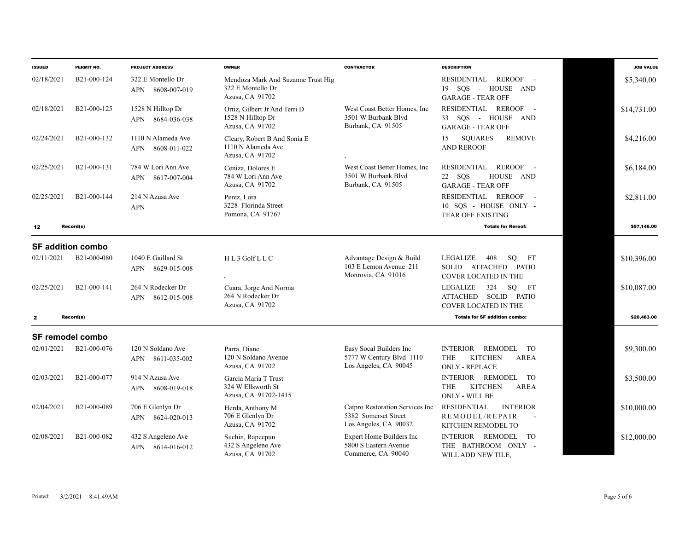| <b>ISSUED</b> | PERMIT NO.               | <b>PROJECT ADDRESS</b>                           | <b>OWNER</b>                                                               | <b>CONTRACTOR</b>                                                                | <b>DESCRIPTION</b>                                                                                    | <b>JOB VALUE</b> |
|---------------|--------------------------|--------------------------------------------------|----------------------------------------------------------------------------|----------------------------------------------------------------------------------|-------------------------------------------------------------------------------------------------------|------------------|
| 02/18/2021    | B21-000-124              | 322 E Montello Dr<br>APN<br>8608-007-019         | Mendoza Mark And Suzanne Trust Hig<br>322 E Montello Dr<br>Azusa, CA 91702 |                                                                                  | RESIDENTIAL<br>REROOF -<br>19 SOS - HOUSE AND<br><b>GARAGE - TEAR OFF</b>                             | \$5,340.00       |
| 02/18/2021    | B21-000-125              | 1528 N Hilltop Dr<br>8684-036-038<br>APN         | Ortiz, Gilbert Jr And Terri D<br>1528 N Hilltop Dr<br>Azusa, CA 91702      | West Coast Better Homes, Inc.<br>3501 W Burbank Blvd<br>Burbank, CA 91505        | RESIDENTIAL REROOF -<br>33 SOS - HOUSE AND<br><b>GARAGE - TEAR OFF</b>                                | \$14,731.00      |
| 02/24/2021    | B21-000-132              | 1110 N Alameda Ave<br>8608-011-022<br><b>APN</b> | Cleary, Robert B And Sonia E<br>1110 N Alameda Ave<br>Azusa, CA 91702      |                                                                                  | <b>SQUARES</b><br><b>REMOVE</b><br>15<br><b>AND REROOF</b>                                            | \$4,216.00       |
| 02/25/2021    | B21-000-131              | 784 W Lori Ann Ave<br>8617-007-004<br>APN        | Ceniza, Dolores E<br>784 W Lori Ann Ave<br>Azusa, CA 91702                 | West Coast Better Homes, Inc.<br>3501 W Burbank Blvd<br>Burbank, CA 91505        | RESIDENTIAL<br>REROOF -<br>22 SOS - HOUSE AND<br><b>GARAGE - TEAR OFF</b>                             | \$6,184.00       |
| 02/25/2021    | B21-000-144              | 214 N Azusa Ave<br><b>APN</b>                    | Perez, Lora<br>3228 Florinda Street<br>Pomona, CA 91767                    |                                                                                  | RESIDENTIAL REROOF<br>$\sim$ 10 $\pm$<br>10 SQS - HOUSE ONLY -<br><b>TEAR OFF EXISTING</b>            | \$2,811.00       |
| 12            | Record(s)                |                                                  |                                                                            |                                                                                  | <b>Totals for Reroof:</b>                                                                             | \$97,146.00      |
|               | <b>SF addition combo</b> |                                                  |                                                                            |                                                                                  |                                                                                                       |                  |
| 02/11/2021    | B21-000-080              | 1040 E Gaillard St<br>8629-015-008<br>APN        | HL3 Golf LLC                                                               | Advantage Design & Build<br>103 E Lemon Avenue 211<br>Monrovia, CA 91016         | LEGALIZE<br>408<br>SO FT<br>SOLID ATTACHED PATIO<br><b>COVER LOCATED IN THE</b>                       | \$10,396.00      |
| 02/25/2021    | B21-000-141              | 264 N Rodecker Dr<br>APN 8612-015-008            | Cuara, Jorge And Norma<br>264 N Rodecker Dr<br>Azusa, CA 91702             |                                                                                  | LEGALIZE<br>324 SQ FT<br>ATTACHED SOLID PATIO<br><b>COVER LOCATED IN THE</b>                          | \$10,087.00      |
| $\mathbf{z}$  | Record(s)                |                                                  |                                                                            |                                                                                  | <b>Totals for SF addition combo:</b>                                                                  | \$20,483.00      |
|               | <b>SF remodel combo</b>  |                                                  |                                                                            |                                                                                  |                                                                                                       |                  |
| 02/01/2021    | B21-000-076              | 120 N Soldano Ave<br>APN<br>8611-035-002         | Parra, Diane<br>120 N Soldano Avenue<br>Azusa, CA 91702                    | Easy Socal Builders Inc<br>5777 W Century Blvd 1110<br>Los Angeles, CA 90045     | <b>INTERIOR</b><br>REMODEL TO<br><b>THE</b><br><b>KITCHEN</b><br><b>AREA</b><br><b>ONLY - REPLACE</b> | \$9,300.00       |
| 02/03/2021    | B21-000-077              | 914 N Azusa Ave<br>8608-019-018<br>APN           | Garcia Maria T Trust<br>324 W Ellsworth St<br>Azusa, CA 91702-1415         |                                                                                  | INTERIOR REMODEL TO<br><b>THE</b><br><b>KITCHEN</b><br><b>AREA</b><br><b>ONLY - WILL BE</b>           | \$3,500.00       |
| 02/04/2021    | B21-000-089              | 706 E Glenlyn Dr<br>8624-020-013<br>APN          | Herda, Anthony M<br>706 E Glenlyn Dr<br>Azusa, CA 91702                    | Catpro Restoration Services Inc<br>5382 Somerset Street<br>Los Angeles, CA 90032 | <b>RESIDENTIAL</b><br><b>INTERIOR</b><br>REMODEL/REPAIR<br>$\sim$<br>KITCHEN REMODEL TO               | \$10,000.00      |
| 02/08/2021    | B <sub>21</sub> -000-082 | 432 S Angeleno Ave<br>APN 8614-016-012           | Suchin, Rapeepun<br>432 S Angeleno Ave<br>Azusa, CA 91702                  | <b>Expert Home Builders Inc</b><br>5800 S Eastern Avenue<br>Commerce, CA 90040   | INTERIOR REMODEL<br>TO<br>THE BATHROOM ONLY -<br>WILL ADD NEW TILE,                                   | \$12,000.00      |